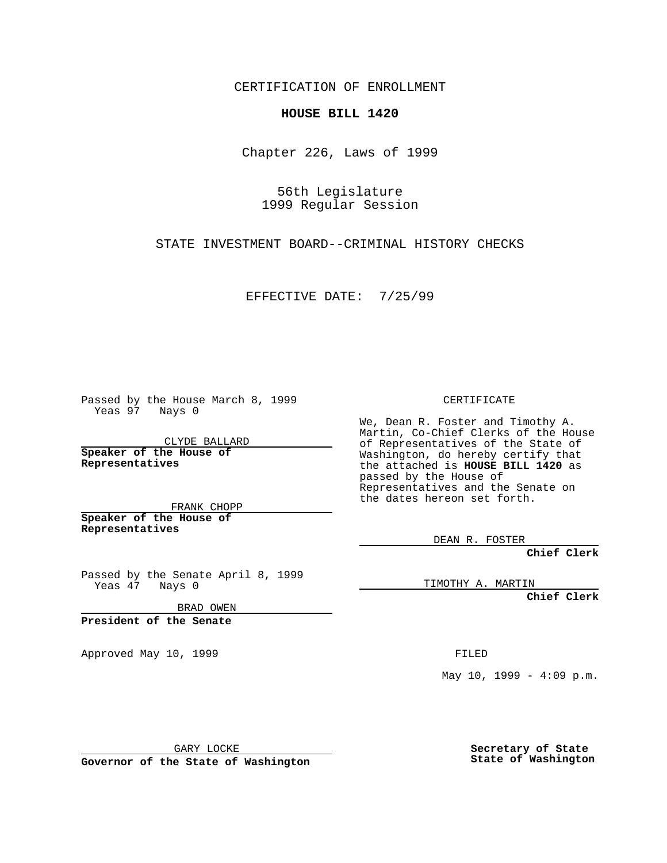CERTIFICATION OF ENROLLMENT

## **HOUSE BILL 1420**

Chapter 226, Laws of 1999

56th Legislature 1999 Regular Session

STATE INVESTMENT BOARD--CRIMINAL HISTORY CHECKS

EFFECTIVE DATE: 7/25/99

Passed by the House March 8, 1999 Yeas 97 Nays 0

CLYDE BALLARD **Speaker of the House of Representatives**

FRANK CHOPP **Speaker of the House of Representatives**

Passed by the Senate April 8, 1999 Yeas 47 Nays 0

BRAD OWEN

**President of the Senate**

Approved May 10, 1999 **FILED** 

CERTIFICATE

We, Dean R. Foster and Timothy A. Martin, Co-Chief Clerks of the House of Representatives of the State of Washington, do hereby certify that the attached is **HOUSE BILL 1420** as passed by the House of Representatives and the Senate on the dates hereon set forth.

DEAN R. FOSTER

**Chief Clerk**

TIMOTHY A. MARTIN

**Chief Clerk**

May  $10$ ,  $1999 - 4:09$  p.m.

GARY LOCKE

**Governor of the State of Washington**

**Secretary of State State of Washington**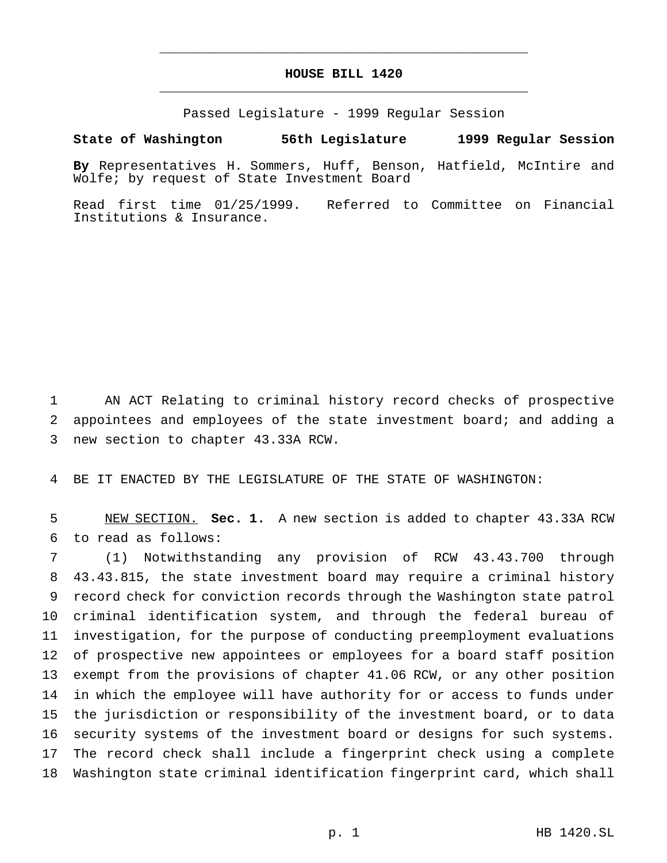## **HOUSE BILL 1420** \_\_\_\_\_\_\_\_\_\_\_\_\_\_\_\_\_\_\_\_\_\_\_\_\_\_\_\_\_\_\_\_\_\_\_\_\_\_\_\_\_\_\_\_\_\_\_

\_\_\_\_\_\_\_\_\_\_\_\_\_\_\_\_\_\_\_\_\_\_\_\_\_\_\_\_\_\_\_\_\_\_\_\_\_\_\_\_\_\_\_\_\_\_\_

Passed Legislature - 1999 Regular Session

## **State of Washington 56th Legislature 1999 Regular Session**

**By** Representatives H. Sommers, Huff, Benson, Hatfield, McIntire and Wolfe; by request of State Investment Board

Read first time 01/25/1999. Referred to Committee on Financial Institutions & Insurance.

 AN ACT Relating to criminal history record checks of prospective appointees and employees of the state investment board; and adding a new section to chapter 43.33A RCW.

BE IT ENACTED BY THE LEGISLATURE OF THE STATE OF WASHINGTON:

 NEW SECTION. **Sec. 1.** A new section is added to chapter 43.33A RCW to read as follows:

 (1) Notwithstanding any provision of RCW 43.43.700 through 43.43.815, the state investment board may require a criminal history record check for conviction records through the Washington state patrol criminal identification system, and through the federal bureau of investigation, for the purpose of conducting preemployment evaluations of prospective new appointees or employees for a board staff position exempt from the provisions of chapter 41.06 RCW, or any other position in which the employee will have authority for or access to funds under the jurisdiction or responsibility of the investment board, or to data security systems of the investment board or designs for such systems. The record check shall include a fingerprint check using a complete Washington state criminal identification fingerprint card, which shall